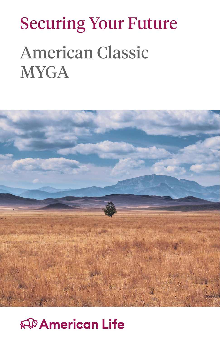# Securing Your Future American Classic **MYGA**



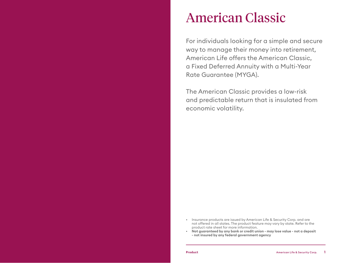#### American Classic

For individuals looking for a simple and secure way to manage their money into retirement, American Life offers the American Classic, a Fixed Deferred Annuity with a Multi-Year Rate Guarantee (MYGA).

The American Classic provides a low-risk and predictable return that is insulated from economic volatility.

- Insurance products are issued by American Life & Security Corp. and are not offered in all states. The product feature may vary by state. Refer to the product rate sheet for more information.
- **• Not guaranteed by any bank or credit union may lose value not a deposit - not insured by any federal government agency**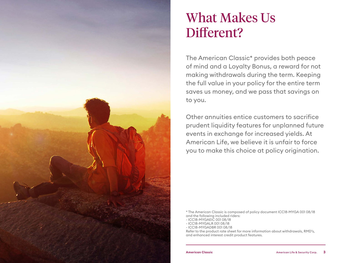

### What Makes Us Different?

The American Classic\* provides both peace of mind and a Loyalty Bonus, a reward for not making withdrawals during the term. Keeping the full value in your policy for the entire term saves us money, and we pass that savings on to you.

Other annuities entice customers to sacrifice prudent liquidity features for unplanned future events in exchange for increased yields. At American Life, we believe it is unfair to force you to make this choice at policy origination.

\* The American Classic is composed of policy document ICC18-MYGA 001 08/18 and the following included riders:

- ICC18-MYGAEIC 001 08/18
- ICC18-MYGALR 001 08/18
- ICC18-MYGADBR 001 08/18

Refer to the product rate sheet for more information about withdrawals, RMD's, and enhanced interest credit product features.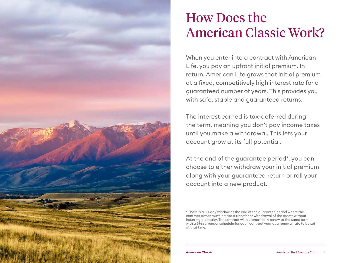

### How Does the American Classic Work?

When you enter into a contract with American Life, you pay an upfront initial premium. In return, American Life grows that initial premium at a fixed, competitively high interest rate for a guaranteed number of years. This provides you with safe, stable and guaranteed returns.

The interest earned is tax-deferred during the term, meaning you don't pay income taxes until you make a withdrawal. This lets your account grow at its full potential.

At the end of the guarantee period\*, you can choose to either withdraw your initial premium along with your guaranteed return or roll your account into a new product.

<sup>\*</sup> There is a 30-day window at the end of the guarantee period where the contract owner must initiate a transfer or withdrawal of the assets without incurring a penalty. The contract will automatically renew at the same term with a 5% surrender schedule for each contract year at a renewal rate to be set at that time.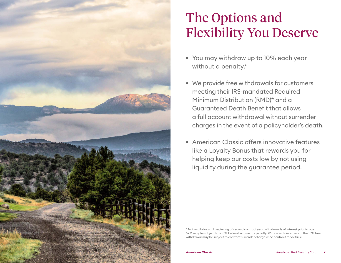

# The Options and Flexibility You Deserve

- You may withdraw up to 10% each year without a penalty.\*
- We provide free withdrawals for customers meeting their IRS-mandated Required Minimum Distribution (RMD)\* and a Guaranteed Death Benefit that allows a full account withdrawal without surrender charges in the event of a policyholder's death.
- American Classic offers innovative features like a Loyalty Bonus that rewards you for helping keep our costs low by not using liquidity during the guarantee period.

\* Not available until beginning of second contract year. Withdrawals of interest prior to age 59 ½ may be subject to a 10% Federal income tax penalty. Withdrawals in excess of the 10% free withdrawal may be subject to contract surrender charges (see contract for details).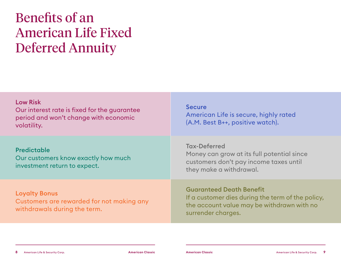## Benefits of an American Life Fixed Deferred Annuity

| <b>Low Risk</b><br>Our interest rate is fixed for the guarantee<br>period and won't change with economic<br>volatility. | <b>Secure</b><br>American Life is secure, highly rated<br>(A.M. Best B++, positive watch).                                                               |
|-------------------------------------------------------------------------------------------------------------------------|----------------------------------------------------------------------------------------------------------------------------------------------------------|
| <b>Predictable</b><br>Our customers know exactly how much<br>investment return to expect.                               | <b>Tax-Deferred</b><br>Money can grow at its full potential since<br>customers don't pay income taxes until<br>they make a withdrawal.                   |
| <b>Loyalty Bonus</b><br>Customers are rewarded for not making any<br>withdrawals during the term.                       | <b>Guaranteed Death Benefit</b><br>If a customer dies during the term of the policy,<br>the account value may be withdrawn with no<br>surrender charges. |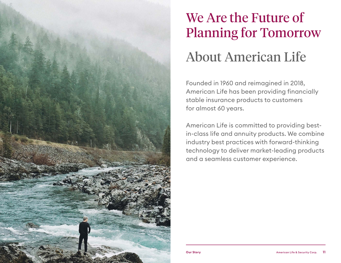

# We Are the Future of Planning for Tomorrow About American Life

Founded in 1960 and reimagined in 2018, American Life has been providing financially stable insurance products to customers for almost 60 years.

American Life is committed to providing bestin-class life and annuity products. We combine industry best practices with forward-thinking technology to deliver market-leading products and a seamless customer experience.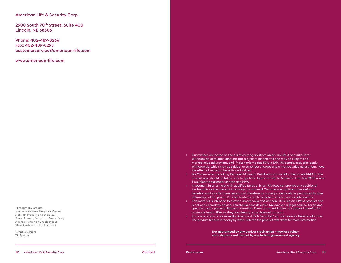#### American Life & Security Corp.

2900 South 70**th** Street, Suite 400 Lincoln, NE 68506

Phone: 402-489-8266 Fax: 402-489-8295 customerservice@american-life.com

www.american-life.com

Photography Credits: Hunter Wiseley on Unsplash (Cover) Abhiram Prakash on pexels (p2) Aaron Burnett, "Absakora Sunset" (p4) Andrea Reiman on Unsplash (p6) Steve Cartner on Unsplash (p10)

Graphic Design: Till Sperrle

- > Guarantees are based on the claims paying ability of American Life & Security Corp. Withdrawals of taxable amounts are subject to income tax and may be subject to a market value adjustment, and if taken prior to age 59½, a 10% IRS penalty may also apply. Withdrawals, which may be subject to surrender charges and a market value adjustment, have the effect of reducing benefits and values.
- > For Owners who are taking Required Minimum Distributions from IRAs, the annual RMD for the current year should be taken prior to qualified funds transfer to American Life. Any RMD in Year 1 is subject to surrender charge and MVA.
- > Investment in an annuity with qualified funds or in an IRA does not provide any additional tax benefits as the account is already tax deferred. There are no additional tax deferral benefits available for these assets and therefore an annuity should only be purchased to take advantage of the product's other features, such as lifetime income and death benefits.
- > This material is intended to provide an overview of American Life's Classic MYGA product and is not considered tax advice. You should consult with a tax advisor or legal counsel for advice specific to your personal financial situation. There are no additional tax deferral benefits for contracts held in IRAs as they are already a tax deferred account.
- > Insurance products are issued by American Life & Security Corp. and are not offered in all states. The product feature may vary by state. Refer to the product rate sheet for more information.

**Not guaranteed by any bank or credit union - may lose value not a deposit - not insured by any federal government agency**